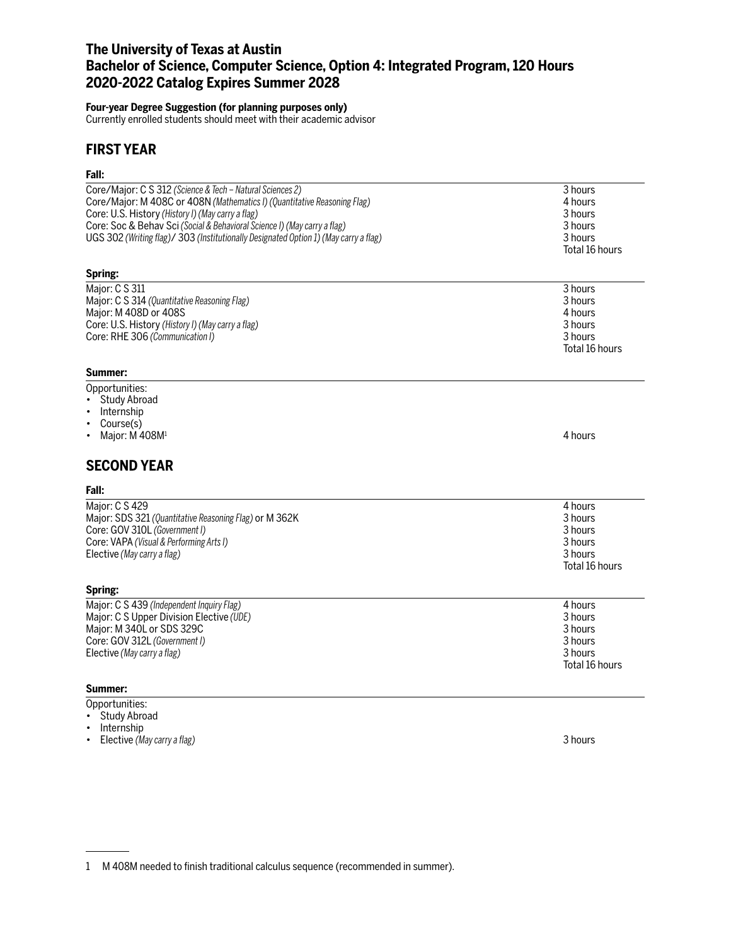# **The University of Texas at Austin Bachelor of Science, Computer Science, Option 4: Integrated Program, 120 Hours 2020-2022 Catalog Expires Summer 2028**

## **Four-year Degree Suggestion (for planning purposes only)**

Currently enrolled students should meet with their academic advisor

## **FIRST YEAR**

## **Fall:**

| Core/Major: C S 312 (Science & Tech – Natural Sciences 2)<br>Core/Major: M 408C or 408N (Mathematics I) (Quantitative Reasoning Flag)<br>Core: U.S. History (History I) (May carry a flag)<br>Core: Soc & Behav Sci (Social & Behavioral Science I) (May carry a flag)<br>UGS 302 (Writing flag)/ 303 (Institutionally Designated Option 1) (May carry a flag) | 3 hours<br>4 hours<br>3 hours<br>3 hours<br>3 hours<br>Total 16 hours |
|----------------------------------------------------------------------------------------------------------------------------------------------------------------------------------------------------------------------------------------------------------------------------------------------------------------------------------------------------------------|-----------------------------------------------------------------------|
| Spring:                                                                                                                                                                                                                                                                                                                                                        |                                                                       |
| Major: C S 311<br>Major: C S 314 (Quantitative Reasoning Flag)<br>Major: M 408D or 408S<br>Core: U.S. History (History I) (May carry a flag)<br>Core: RHE 306 (Communication I)                                                                                                                                                                                | 3 hours<br>3 hours<br>4 hours<br>3 hours<br>3 hours<br>Total 16 hours |

## **Summer:**

- Opportunities:
- Study Abroad
- Internship
- Course(s)
- Major:  $\dot{M}$  408 $M<sup>1</sup>$  4 hours

# **SECOND YEAR**

#### **Fall:**

| Maior: C S 429                                         | 4 hours        |
|--------------------------------------------------------|----------------|
| Major: SDS 321 (Quantitative Reasoning Flag) or M 362K | 3 hours        |
| Core: GOV 310L (Government I)                          | 3 hours        |
| Core: VAPA (Visual & Performing Arts I)                | 3 hours        |
| Elective (May carry a flag)                            | 3 hours        |
|                                                        | Total 16 hours |

|  | U. | гιп<br>Ι | w |  |
|--|----|----------|---|--|
|  |    |          |   |  |

| Major: C S 439 (Independent Inquiry Flag) | 4 hours        |
|-------------------------------------------|----------------|
| Major: C S Upper Division Elective (UDE)  | 3 hours        |
| Major: M 340L or SDS 329C                 | 3 hours        |
| Core: GOV 312L (Government I)             | 3 hours        |
| Elective (May carry a flag)               | 3 hours        |
|                                           | Total 16 hours |

## **Summer:**

- Opportunities:
- Study Abroad
- Internship
- Elective *(May carry a flag)* 3 hours

<sup>1</sup> M 408M needed to finish traditional calculus sequence (recommended in summer).